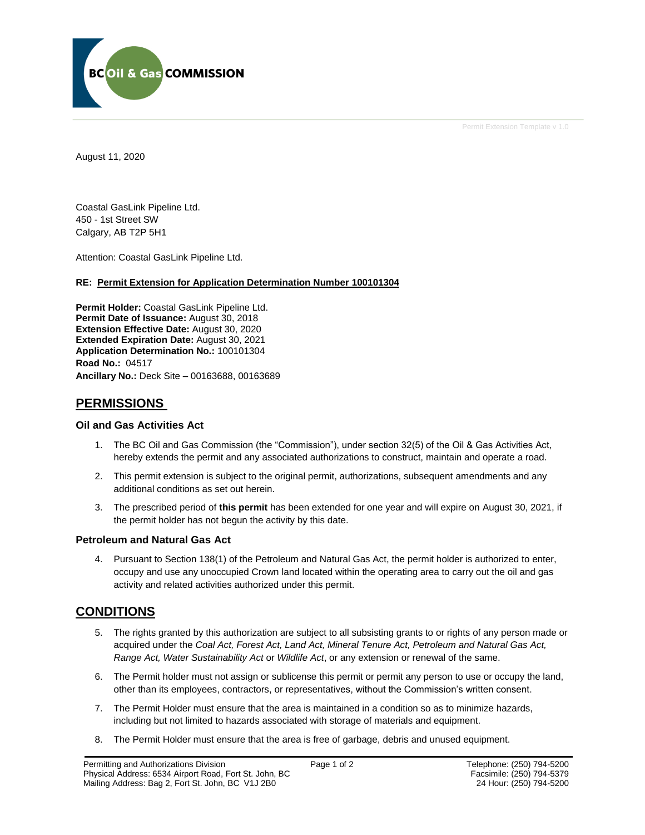

Permit Extension Template v 1.0

August 11, 2020

Coastal GasLink Pipeline Ltd. 450 - 1st Street SW Calgary, AB T2P 5H1

Attention: Coastal GasLink Pipeline Ltd.

#### **RE: Permit Extension for Application Determination Number 100101304**

**Permit Holder:** Coastal GasLink Pipeline Ltd. Permit Date of Issuance: August 30, 2018 **Extension Effective Date:** August 30, 2020 **Extended Expiration Date:** August 30, 2021 **Application Determination No.:** 100101304 **Road No.:** 04517 **Ancillary No.:** Deck Site – 00163688, 00163689

### **PERMISSIONS**

#### **Oil and Gas Activities Act**

- 1. The BC Oil and Gas Commission (the "Commission"), under section 32(5) of the Oil & Gas Activities Act, hereby extends the permit and any associated authorizations to construct, maintain and operate a road.
- 2. This permit extension is subject to the original permit, authorizations, subsequent amendments and any additional conditions as set out herein.
- 3. The prescribed period of **this permit** has been extended for one year and will expire on August 30, 2021, if the permit holder has not begun the activity by this date.

#### **Petroleum and Natural Gas Act**

4. Pursuant to Section 138(1) of the Petroleum and Natural Gas Act, the permit holder is authorized to enter, occupy and use any unoccupied Crown land located within the operating area to carry out the oil and gas activity and related activities authorized under this permit.

## **CONDITIONS**

- 5. The rights granted by this authorization are subject to all subsisting grants to or rights of any person made or acquired under the *Coal Act, Forest Act, Land Act, Mineral Tenure Act, Petroleum and Natural Gas Act, Range Act, Water Sustainability Act* or *Wildlife Act*, or any extension or renewal of the same.
- 6. The Permit holder must not assign or sublicense this permit or permit any person to use or occupy the land, other than its employees, contractors, or representatives, without the Commission's written consent.
- 7. The Permit Holder must ensure that the area is maintained in a condition so as to minimize hazards, including but not limited to hazards associated with storage of materials and equipment.
- 8. The Permit Holder must ensure that the area is free of garbage, debris and unused equipment.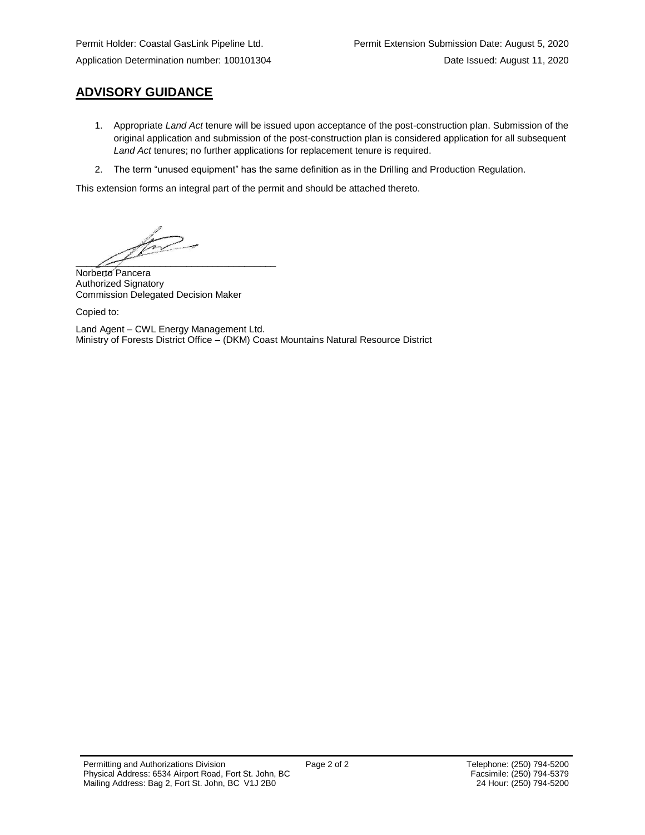## **ADVISORY GUIDANCE**

- 1. Appropriate *Land Act* tenure will be issued upon acceptance of the post-construction plan. Submission of the original application and submission of the post-construction plan is considered application for all subsequent *Land Act* tenures; no further applications for replacement tenure is required.
- 2. The term "unused equipment" has the same definition as in the Drilling and Production Regulation.

This extension forms an integral part of the permit and should be attached thereto.

 $\frac{1}{\sqrt{N}}$ 

Norberto Pancera Authorized Signatory Commission Delegated Decision Maker

Copied to:

Land Agent – CWL Energy Management Ltd. Ministry of Forests District Office – (DKM) Coast Mountains Natural Resource District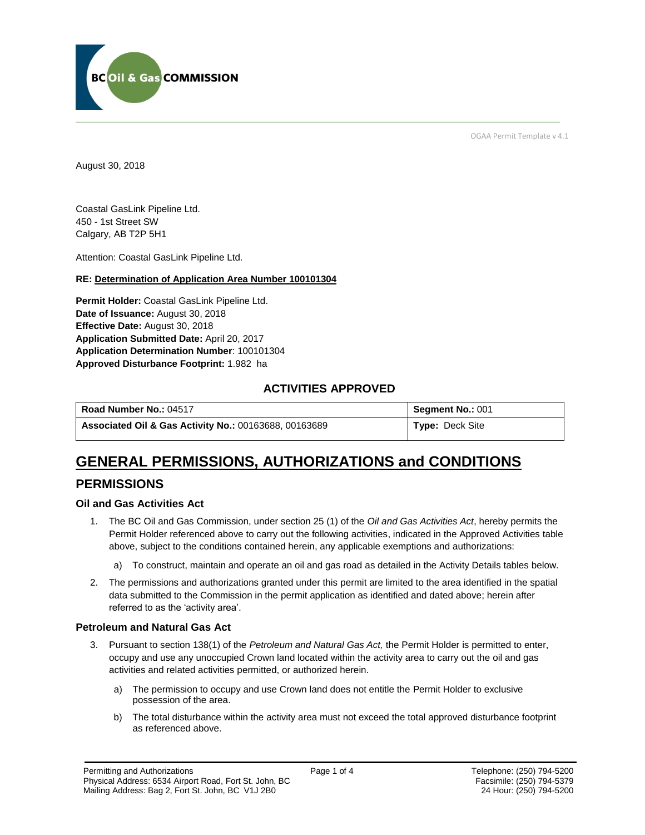

OGAA Permit Template v 4.1

August 30, 2018

Coastal GasLink Pipeline Ltd. 450 - 1st Street SW Calgary, AB T2P 5H1

Attention: Coastal GasLink Pipeline Ltd.

#### **RE: Determination of Application Area Number 100101304**

**Permit Holder:** Coastal GasLink Pipeline Ltd. **Date of Issuance:** August 30, 2018 **Effective Date:** August 30, 2018 **Application Submitted Date:** April 20, 2017 **Application Determination Number**: 100101304 **Approved Disturbance Footprint:** 1.982 ha

## **ACTIVITIES APPROVED**

| Road Number No.: 04517                                           | <b>Segment No.: 001</b> |
|------------------------------------------------------------------|-------------------------|
| <b>Associated Oil &amp; Gas Activity No.: 00163688, 00163689</b> | <b>Type: Deck Site</b>  |

# **GENERAL PERMISSIONS, AUTHORIZATIONS and CONDITIONS**

## **PERMISSIONS**

#### **Oil and Gas Activities Act**

- 1. The BC Oil and Gas Commission, under section 25 (1) of the *Oil and Gas Activities Act*, hereby permits the Permit Holder referenced above to carry out the following activities, indicated in the Approved Activities table above, subject to the conditions contained herein, any applicable exemptions and authorizations:
	- a) To construct, maintain and operate an oil and gas road as detailed in the Activity Details tables below.
- 2. The permissions and authorizations granted under this permit are limited to the area identified in the spatial data submitted to the Commission in the permit application as identified and dated above; herein after referred to as the 'activity area'.

#### **Petroleum and Natural Gas Act**

- 3. Pursuant to section 138(1) of the *Petroleum and Natural Gas Act,* the Permit Holder is permitted to enter, occupy and use any unoccupied Crown land located within the activity area to carry out the oil and gas activities and related activities permitted, or authorized herein.
	- a) The permission to occupy and use Crown land does not entitle the Permit Holder to exclusive possession of the area.
	- b) The total disturbance within the activity area must not exceed the total approved disturbance footprint as referenced above.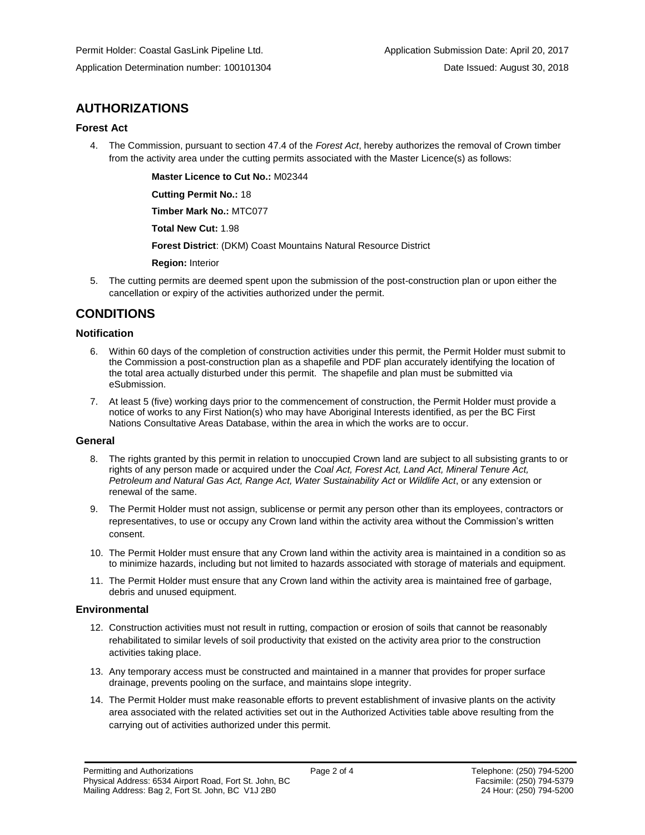## **AUTHORIZATIONS**

#### **Forest Act**

4. The Commission, pursuant to section 47.4 of the *Forest Act*, hereby authorizes the removal of Crown timber from the activity area under the cutting permits associated with the Master Licence(s) as follows:

**Master Licence to Cut No.:** M02344

**Cutting Permit No.:** 18

**Timber Mark No.:** MTC077

**Total New Cut:** 1.98

**Forest District**: (DKM) Coast Mountains Natural Resource District

**Region:** Interior

5. The cutting permits are deemed spent upon the submission of the post-construction plan or upon either the cancellation or expiry of the activities authorized under the permit.

## **CONDITIONS**

#### **Notification**

- 6. Within 60 days of the completion of construction activities under this permit, the Permit Holder must submit to the Commission a post-construction plan as a shapefile and PDF plan accurately identifying the location of the total area actually disturbed under this permit. The shapefile and plan must be submitted via eSubmission.
- 7. At least 5 (five) working days prior to the commencement of construction, the Permit Holder must provide a notice of works to any First Nation(s) who may have Aboriginal Interests identified, as per the BC First Nations Consultative Areas Database, within the area in which the works are to occur.

#### **General**

- 8. The rights granted by this permit in relation to unoccupied Crown land are subject to all subsisting grants to or rights of any person made or acquired under the *Coal Act, Forest Act, Land Act, Mineral Tenure Act, Petroleum and Natural Gas Act, Range Act, Water Sustainability Act* or *Wildlife Act*, or any extension or renewal of the same.
- 9. The Permit Holder must not assign, sublicense or permit any person other than its employees, contractors or representatives, to use or occupy any Crown land within the activity area without the Commission's written consent.
- 10. The Permit Holder must ensure that any Crown land within the activity area is maintained in a condition so as to minimize hazards, including but not limited to hazards associated with storage of materials and equipment.
- 11. The Permit Holder must ensure that any Crown land within the activity area is maintained free of garbage, debris and unused equipment.

#### **Environmental**

- 12. Construction activities must not result in rutting, compaction or erosion of soils that cannot be reasonably rehabilitated to similar levels of soil productivity that existed on the activity area prior to the construction activities taking place.
- 13. Any temporary access must be constructed and maintained in a manner that provides for proper surface drainage, prevents pooling on the surface, and maintains slope integrity.
- 14. The Permit Holder must make reasonable efforts to prevent establishment of invasive plants on the activity area associated with the related activities set out in the Authorized Activities table above resulting from the carrying out of activities authorized under this permit.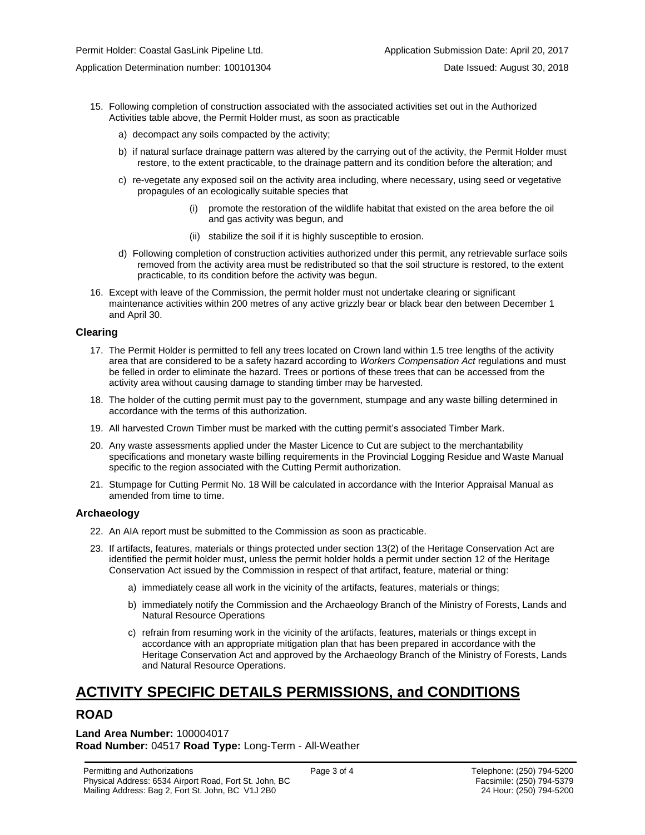- 15. Following completion of construction associated with the associated activities set out in the Authorized Activities table above, the Permit Holder must, as soon as practicable
	- a) decompact any soils compacted by the activity;
	- b) if natural surface drainage pattern was altered by the carrying out of the activity, the Permit Holder must restore, to the extent practicable, to the drainage pattern and its condition before the alteration; and
	- c) re-vegetate any exposed soil on the activity area including, where necessary, using seed or vegetative propagules of an ecologically suitable species that
		- (i) promote the restoration of the wildlife habitat that existed on the area before the oil and gas activity was begun, and
		- (ii) stabilize the soil if it is highly susceptible to erosion.
	- d) Following completion of construction activities authorized under this permit, any retrievable surface soils removed from the activity area must be redistributed so that the soil structure is restored, to the extent practicable, to its condition before the activity was begun.
- 16. Except with leave of the Commission, the permit holder must not undertake clearing or significant maintenance activities within 200 metres of any active grizzly bear or black bear den between December 1 and April 30.

#### **Clearing**

- 17. The Permit Holder is permitted to fell any trees located on Crown land within 1.5 tree lengths of the activity area that are considered to be a safety hazard according to *Workers Compensation Act* regulations and must be felled in order to eliminate the hazard. Trees or portions of these trees that can be accessed from the activity area without causing damage to standing timber may be harvested.
- 18. The holder of the cutting permit must pay to the government, stumpage and any waste billing determined in accordance with the terms of this authorization.
- 19. All harvested Crown Timber must be marked with the cutting permit's associated Timber Mark.
- 20. Any waste assessments applied under the Master Licence to Cut are subject to the merchantability specifications and monetary waste billing requirements in the Provincial Logging Residue and Waste Manual specific to the region associated with the Cutting Permit authorization.
- 21. Stumpage for Cutting Permit No. 18 Will be calculated in accordance with the Interior Appraisal Manual as amended from time to time.

#### **Archaeology**

- 22. An AIA report must be submitted to the Commission as soon as practicable.
- 23. If artifacts, features, materials or things protected under section 13(2) of the Heritage Conservation Act are identified the permit holder must, unless the permit holder holds a permit under section 12 of the Heritage Conservation Act issued by the Commission in respect of that artifact, feature, material or thing:
	- a) immediately cease all work in the vicinity of the artifacts, features, materials or things;
	- b) immediately notify the Commission and the Archaeology Branch of the Ministry of Forests, Lands and Natural Resource Operations
	- c) refrain from resuming work in the vicinity of the artifacts, features, materials or things except in accordance with an appropriate mitigation plan that has been prepared in accordance with the Heritage Conservation Act and approved by the Archaeology Branch of the Ministry of Forests, Lands and Natural Resource Operations.

# **ACTIVITY SPECIFIC DETAILS PERMISSIONS, and CONDITIONS**

#### **ROAD**

**Land Area Number:** 100004017 **Road Number:** 04517 **Road Type:** Long-Term - All-Weather